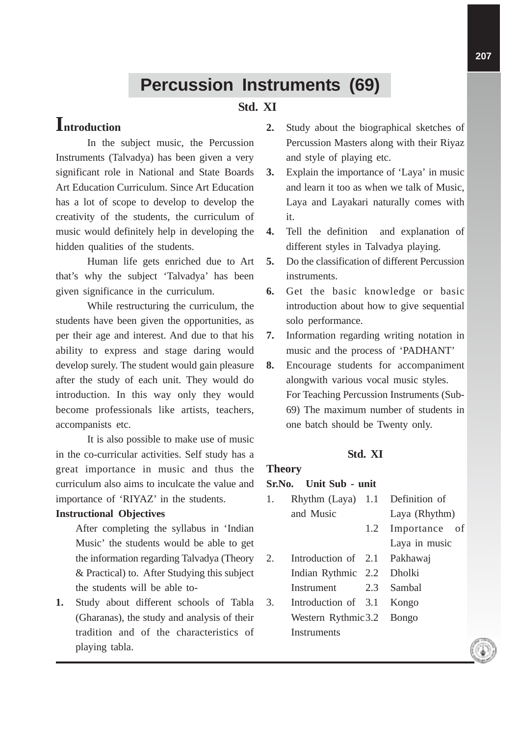# **Percussion Instruments (69)**

### **Std. XI**

# **Introduction**

In the subject music, the Percussion Instruments (Talvadya) has been given a very significant role in National and State Boards Art Education Curriculum. Since Art Education has a lot of scope to develop to develop the creativity of the students, the curriculum of music would definitely help in developing the hidden qualities of the students.

Human life gets enriched due to Art that's why the subject 'Talvadya' has been given significance in the curriculum.

While restructuring the curriculum, the students have been given the opportunities, as per their age and interest. And due to that his ability to express and stage daring would develop surely. The student would gain pleasure after the study of each unit. They would do introduction. In this way only they would become professionals like artists, teachers, accompanists etc.

It is also possible to make use of music in the co-curricular activities. Self study has a great importance in music and thus the curriculum also aims to inculcate the value and importance of 'RIYAZ' in the students.

#### **Instructional Objectives**

After completing the syllabus in 'Indian Music' the students would be able to get the information regarding Talvadya (Theory & Practical) to. After Studying this subject the students will be able to-

**1.** Study about different schools of Tabla (Gharanas), the study and analysis of their tradition and of the characteristics of playing tabla.

- **2.** Study about the biographical sketches of Percussion Masters along with their Riyaz and style of playing etc.
- **3.** Explain the importance of 'Laya' in music and learn it too as when we talk of Music, Laya and Layakari naturally comes with it.
- **4.** Tell the definition and explanation of different styles in Talvadya playing.
- **5.** Do the classification of different Percussion instruments.
- **6.** Get the basic knowledge or basic introduction about how to give sequential solo performance.
- **7.** Information regarding writing notation in music and the process of 'PADHANT'
- **8.** Encourage students for accompaniment alongwith various vocal music styles. For Teaching Percussion Instruments (Sub-69) The maximum number of students in one batch should be Twenty only.

#### **Std. XI**

#### **Theory**

#### **Sr.No. Unit Sub - unit**

| 1. | Rhythm (Laya) 1.1 Definition of |     |               |  |  |
|----|---------------------------------|-----|---------------|--|--|
|    | and Music                       |     | Laya (Rhythm) |  |  |
|    |                                 | 1.2 | Importance of |  |  |
|    |                                 |     | Laya in music |  |  |
| 2. | Introduction of 2.1             |     | Pakhawaj      |  |  |
|    | Indian Rythmic 2.2 Dholki       |     |               |  |  |
|    | Instrument                      |     | 2.3 Sambal    |  |  |
| 3. | Introduction of 3.1 Kongo       |     |               |  |  |
|    | Western Rythmic 3.2 Bongo       |     |               |  |  |
|    | <b>Instruments</b>              |     |               |  |  |
|    |                                 |     |               |  |  |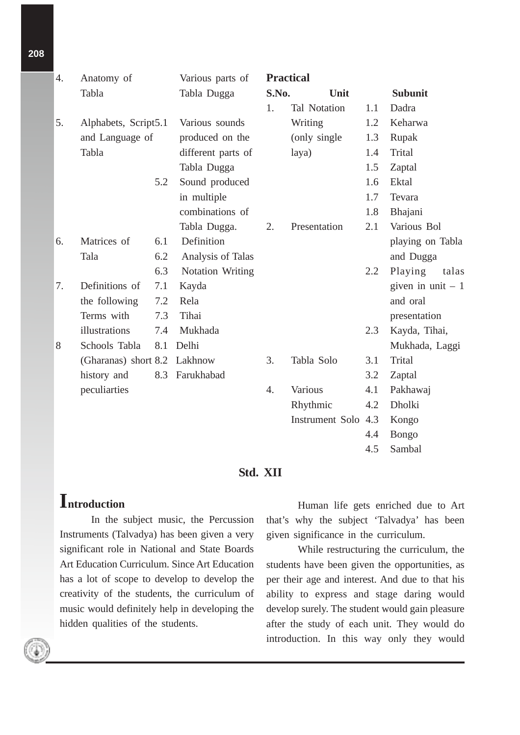| 4. | Anatomy of<br>Tabla  |     | Various parts of<br>Tabla Dugga | <b>Practical</b> |                     |     |                    |  |
|----|----------------------|-----|---------------------------------|------------------|---------------------|-----|--------------------|--|
|    |                      |     |                                 | S.No.            | Unit                |     | <b>Subunit</b>     |  |
|    |                      |     |                                 | 1.               | Tal Notation        | 1.1 | Dadra              |  |
| 5. | Alphabets, Script5.1 |     | Various sounds                  |                  | Writing             | 1.2 | Keharwa            |  |
|    | and Language of      |     | produced on the                 |                  | (only single)       | 1.3 | Rupak              |  |
|    | Tabla                |     | different parts of              |                  | laya)               | 1.4 | Trital             |  |
|    |                      |     | Tabla Dugga                     |                  |                     | 1.5 | Zaptal             |  |
|    |                      | 5.2 | Sound produced                  |                  |                     | 1.6 | Ektal              |  |
|    |                      |     | in multiple                     |                  |                     | 1.7 | Tevara             |  |
|    |                      |     | combinations of                 |                  |                     | 1.8 | Bhajani            |  |
|    |                      |     | Tabla Dugga.                    | 2.               | Presentation        | 2.1 | Various Bol        |  |
| 6. | Matrices of          | 6.1 | Definition                      |                  |                     |     | playing on Tabla   |  |
|    | Tala                 | 6.2 | Analysis of Talas               |                  |                     |     | and Dugga          |  |
|    |                      | 6.3 | Notation Writing                |                  |                     | 2.2 | Playing<br>talas   |  |
| 7. | Definitions of       | 7.1 | Kayda                           |                  |                     |     | given in unit $-1$ |  |
|    | the following        | 7.2 | Rela                            |                  |                     |     | and oral           |  |
|    | Terms with           | 7.3 | Tihai                           |                  |                     |     | presentation       |  |
|    | illustrations        | 7.4 | Mukhada                         |                  |                     | 2.3 | Kayda, Tihai,      |  |
| 8  | Schools Tabla        | 8.1 | Delhi                           |                  |                     |     | Mukhada, Laggi     |  |
|    | (Gharanas) short 8.2 |     | Lakhnow                         | 3.               | Tabla Solo          | 3.1 | <b>Trital</b>      |  |
|    | history and          | 8.3 | Farukhabad                      |                  |                     | 3.2 | Zaptal             |  |
|    | peculiarties         |     |                                 | 4.               | Various             | 4.1 | Pakhawaj           |  |
|    |                      |     |                                 |                  | Rhythmic            | 4.2 | Dholki             |  |
|    |                      |     |                                 |                  | Instrument Solo 4.3 |     | Kongo              |  |
|    |                      |     |                                 |                  |                     | 4.4 | <b>Bongo</b>       |  |
|    |                      |     |                                 |                  |                     | 4.5 | Sambal             |  |

#### **Std. XII**

## **Introduction**

In the subject music, the Percussion Instruments (Talvadya) has been given a very significant role in National and State Boards Art Education Curriculum. Since Art Education has a lot of scope to develop to develop the creativity of the students, the curriculum of music would definitely help in developing the hidden qualities of the students.

Human life gets enriched due to Art that's why the subject 'Talvadya' has been given significance in the curriculum.

While restructuring the curriculum, the students have been given the opportunities, as per their age and interest. And due to that his ability to express and stage daring would develop surely. The student would gain pleasure after the study of each unit. They would do introduction. In this way only they would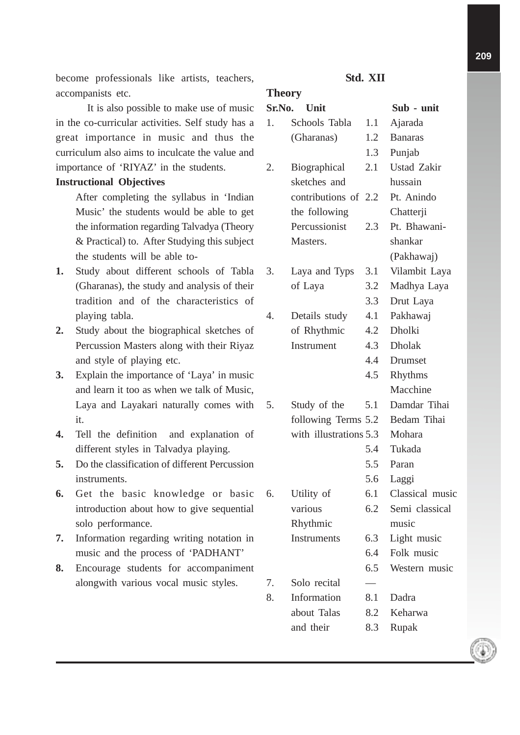become professionals like artists, teachers, accompanists etc.

It is also possible to make use of music in the co-curricular activities. Self study has a great importance in music and thus the curriculum also aims to inculcate the value and importance of 'RIYAZ' in the students.

#### **Instructional Objectives**

After completing the syllabus in 'Indian Music' the students would be able to get the information regarding Talvadya (Theory & Practical) to. After Studying this subject the students will be able to-

- **1.** Study about different schools of Tabla (Gharanas), the study and analysis of their tradition and of the characteristics of playing tabla.
- **2.** Study about the biographical sketches of Percussion Masters along with their Riyaz and style of playing etc.
- **3.** Explain the importance of 'Laya' in music and learn it too as when we talk of Music, Laya and Layakari naturally comes with it.
- **4.** Tell the definition and explanation of different styles in Talvadya playing.
- **5.** Do the classification of different Percussion instruments.
- **6.** Get the basic knowledge or basic introduction about how to give sequential solo performance.
- **7.** Information regarding writing notation in music and the process of 'PADHANT'
- **8.** Encourage students for accompaniment alongwith various vocal music styles.

### **Std. XII**

#### **Theory**

| Sr.No. | Unit                   |        | Sub - unit         |
|--------|------------------------|--------|--------------------|
| 1.     | Schools Tabla          | 1.1    | Ajarada            |
|        | (Gharanas)             | 1.2    | <b>Banaras</b>     |
|        |                        | 1.3    | Punjab             |
| 2.     | Biographical           | 2.1    | <b>Ustad Zakir</b> |
|        | sketches and           |        | hussain            |
|        | contributions of 2.2   |        | Pt. Anindo         |
|        | the following          |        | Chatterji          |
|        | Percussionist          | 2.3    | Pt. Bhawani-       |
|        | Masters.               |        | shankar            |
|        |                        |        | (Pakhawaj)         |
| 3.     | Laya and Typs          | 3.1    | Vilambit Laya      |
|        | of Laya                | 3.2    | Madhya Laya        |
|        |                        | 3.3    | Drut Laya          |
| 4.     | Details study          | 4.1    | Pakhawaj           |
|        | of Rhythmic            | 4.2    | <b>Dholki</b>      |
|        | Instrument             | 4.3    | <b>Dholak</b>      |
|        |                        | 4.4    | Drumset            |
|        |                        | 4.5    | Rhythms            |
|        |                        |        | Macchine           |
| 5.     | Study of the           | 5.1    | Damdar Tihai       |
|        | following Terms 5.2    |        | Bedam Tihai        |
|        | with illustrations 5.3 | Mohara |                    |
|        |                        | 5.4    | Tukada             |
|        |                        | 5.5    | Paran              |
|        |                        | 5.6    | Laggi              |
| 6.     | Utility of             | 6.1    | Classical music    |
|        | various                | 6.2    | Semi classical     |
|        | Rhythmic               |        | music              |
|        | Instruments            | 6.3    | Light music        |
|        |                        | 6.4    | Folk music         |
|        |                        | 6.5    | Western music      |
| 7.     | Solo recital           |        |                    |
| 8.     | Information            | 8.1    | Dadra              |
|        | about Talas            | 8.2    | Keharwa            |
|        | and their              | 8.3    | Rupak              |
|        |                        |        |                    |